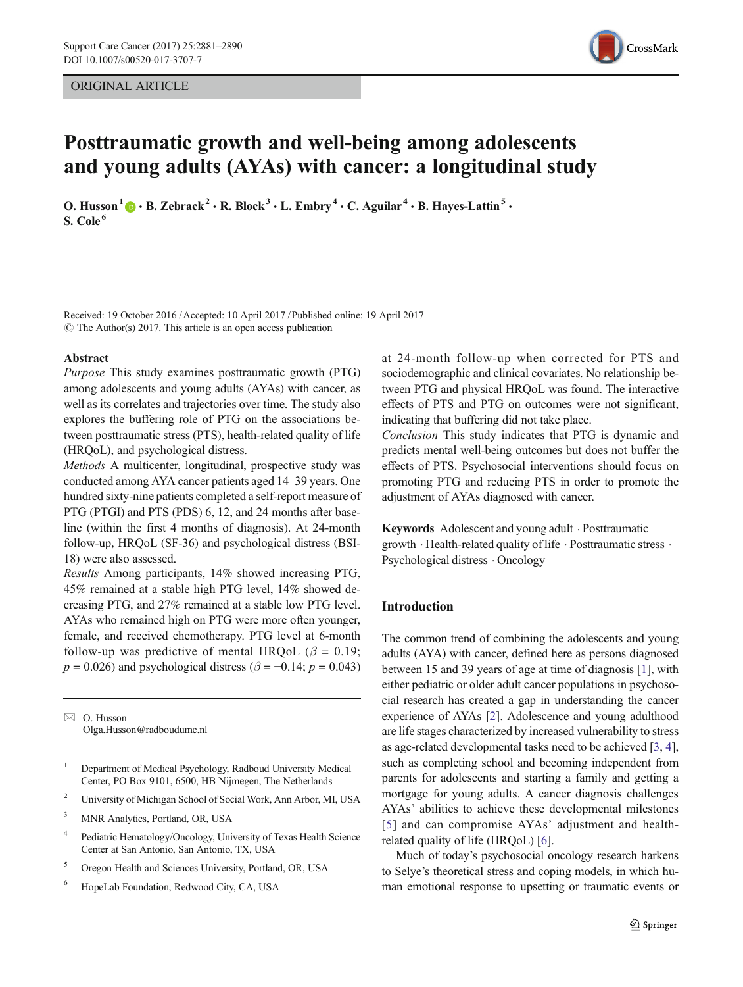## ORIGINAL ARTICLE



# Posttraumatic growth and well-being among adolescents and young adults (AYAs) with cancer: a longitudinal study

O. Husson<sup>1</sup>  $\mathbf{D} \cdot \mathbf{B}$ . Zebrack<sup>2</sup>  $\cdot$  R. Block<sup>3</sup>  $\cdot$  L. Embry<sup>4</sup>  $\cdot$  C. Aguilar<sup>4</sup>  $\cdot$  B. Hayes-Lattin<sup>5</sup>  $\cdot$ S. Cole<sup>6</sup>

Received: 19 October 2016 /Accepted: 10 April 2017 /Published online: 19 April 2017  $\circ$  The Author(s) 2017. This article is an open access publication

#### Abstract

Purpose This study examines posttraumatic growth (PTG) among adolescents and young adults (AYAs) with cancer, as well as its correlates and trajectories over time. The study also explores the buffering role of PTG on the associations between posttraumatic stress (PTS), health-related quality of life (HRQoL), and psychological distress.

Methods A multicenter, longitudinal, prospective study was conducted among AYA cancer patients aged 14–39 years. One hundred sixty-nine patients completed a self-report measure of PTG (PTGI) and PTS (PDS) 6, 12, and 24 months after baseline (within the first 4 months of diagnosis). At 24-month follow-up, HRQoL (SF-36) and psychological distress (BSI-18) were also assessed.

Results Among participants, 14% showed increasing PTG, 45% remained at a stable high PTG level, 14% showed decreasing PTG, and 27% remained at a stable low PTG level. AYAs who remained high on PTG were more often younger, female, and received chemotherapy. PTG level at 6-month follow-up was predictive of mental HRQoL ( $\beta = 0.19$ ;  $p = 0.026$ ) and psychological distress ( $\beta = -0.14$ ;  $p = 0.043$ )

 $\boxtimes$  O. Husson Olga.Husson@radboudumc.nl

- <sup>1</sup> Department of Medical Psychology, Radboud University Medical Center, PO Box 9101, 6500, HB Nijmegen, The Netherlands
- <sup>2</sup> University of Michigan School of Social Work, Ann Arbor, MI, USA
- <sup>3</sup> MNR Analytics, Portland, OR, USA
- <sup>4</sup> Pediatric Hematology/Oncology, University of Texas Health Science Center at San Antonio, San Antonio, TX, USA
- <sup>5</sup> Oregon Health and Sciences University, Portland, OR, USA
- <sup>6</sup> HopeLab Foundation, Redwood City, CA, USA

at 24-month follow-up when corrected for PTS and sociodemographic and clinical covariates. No relationship between PTG and physical HRQoL was found. The interactive effects of PTS and PTG on outcomes were not significant, indicating that buffering did not take place.

Conclusion This study indicates that PTG is dynamic and predicts mental well-being outcomes but does not buffer the effects of PTS. Psychosocial interventions should focus on promoting PTG and reducing PTS in order to promote the adjustment of AYAs diagnosed with cancer.

Keywords Adolescent and young adult . Posttraumatic growth . Health-related quality of life . Posttraumatic stress . Psychological distress . Oncology

# Introduction

The common trend of combining the adolescents and young adults (AYA) with cancer, defined here as persons diagnosed between 15 and 39 years of age at time of diagnosis [\[1\]](#page-8-0), with either pediatric or older adult cancer populations in psychosocial research has created a gap in understanding the cancer experience of AYAs [[2\]](#page-8-0). Adolescence and young adulthood are life stages characterized by increased vulnerability to stress as age-related developmental tasks need to be achieved [\[3,](#page-8-0) [4\]](#page-8-0), such as completing school and becoming independent from parents for adolescents and starting a family and getting a mortgage for young adults. A cancer diagnosis challenges AYAs' abilities to achieve these developmental milestones [[5\]](#page-8-0) and can compromise AYAs' adjustment and healthrelated quality of life (HRQoL) [[6\]](#page-8-0).

Much of today's psychosocial oncology research harkens to Selye's theoretical stress and coping models, in which human emotional response to upsetting or traumatic events or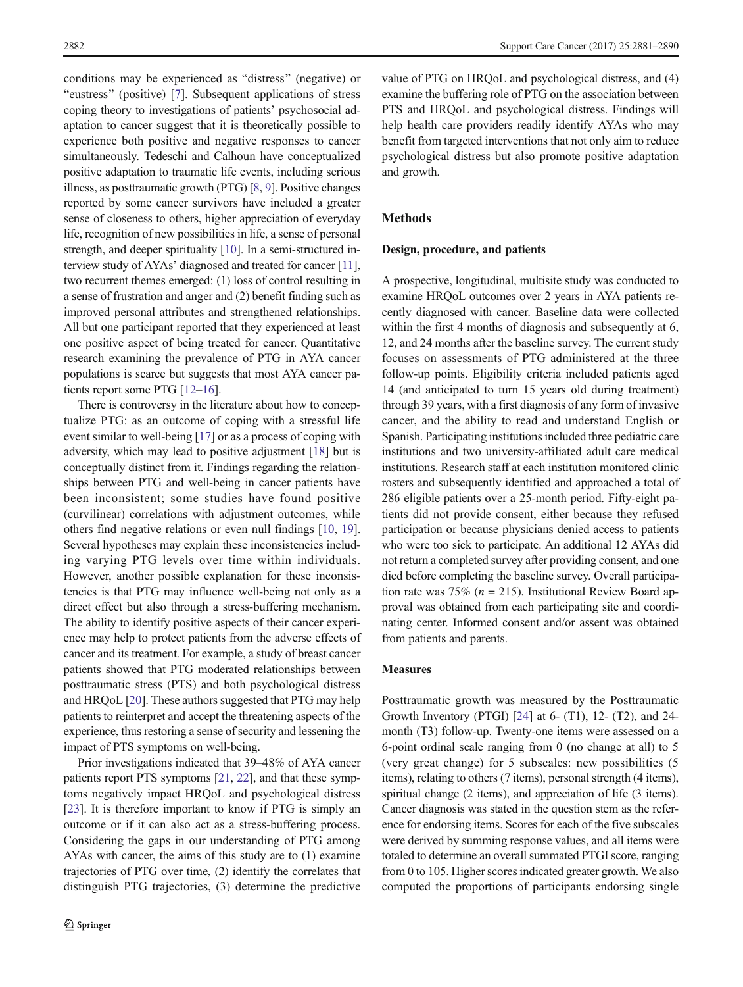conditions may be experienced as "distress" (negative) or "eustress" (positive) [\[7](#page-8-0)]. Subsequent applications of stress coping theory to investigations of patients' psychosocial adaptation to cancer suggest that it is theoretically possible to experience both positive and negative responses to cancer simultaneously. Tedeschi and Calhoun have conceptualized positive adaptation to traumatic life events, including serious illness, as posttraumatic growth (PTG) [\[8](#page-8-0), [9](#page-8-0)]. Positive changes reported by some cancer survivors have included a greater sense of closeness to others, higher appreciation of everyday life, recognition of new possibilities in life, a sense of personal strength, and deeper spirituality [[10\]](#page-8-0). In a semi-structured interview study of AYAs' diagnosed and treated for cancer [\[11\]](#page-8-0), two recurrent themes emerged: (1) loss of control resulting in a sense of frustration and anger and (2) benefit finding such as improved personal attributes and strengthened relationships. All but one participant reported that they experienced at least one positive aspect of being treated for cancer. Quantitative research examining the prevalence of PTG in AYA cancer populations is scarce but suggests that most AYA cancer patients report some PTG [\[12](#page-8-0)–[16\]](#page-8-0).

There is controversy in the literature about how to conceptualize PTG: as an outcome of coping with a stressful life event similar to well-being [\[17](#page-8-0)] or as a process of coping with adversity, which may lead to positive adjustment [[18\]](#page-8-0) but is conceptually distinct from it. Findings regarding the relationships between PTG and well-being in cancer patients have been inconsistent; some studies have found positive (curvilinear) correlations with adjustment outcomes, while others find negative relations or even null findings [\[10](#page-8-0), [19\]](#page-8-0). Several hypotheses may explain these inconsistencies including varying PTG levels over time within individuals. However, another possible explanation for these inconsistencies is that PTG may influence well-being not only as a direct effect but also through a stress-buffering mechanism. The ability to identify positive aspects of their cancer experience may help to protect patients from the adverse effects of cancer and its treatment. For example, a study of breast cancer patients showed that PTG moderated relationships between posttraumatic stress (PTS) and both psychological distress and HRQoL [[20\]](#page-8-0). These authors suggested that PTG may help patients to reinterpret and accept the threatening aspects of the experience, thus restoring a sense of security and lessening the impact of PTS symptoms on well-being.

Prior investigations indicated that 39–48% of AYA cancer patients report PTS symptoms [\[21,](#page-8-0) [22\]](#page-8-0), and that these symptoms negatively impact HRQoL and psychological distress [\[23\]](#page-8-0). It is therefore important to know if PTG is simply an outcome or if it can also act as a stress-buffering process. Considering the gaps in our understanding of PTG among AYAs with cancer, the aims of this study are to (1) examine trajectories of PTG over time, (2) identify the correlates that distinguish PTG trajectories, (3) determine the predictive

value of PTG on HRQoL and psychological distress, and (4) examine the buffering role of PTG on the association between PTS and HRQoL and psychological distress. Findings will help health care providers readily identify AYAs who may benefit from targeted interventions that not only aim to reduce psychological distress but also promote positive adaptation and growth.

# Methods

#### Design, procedure, and patients

A prospective, longitudinal, multisite study was conducted to examine HRQoL outcomes over 2 years in AYA patients recently diagnosed with cancer. Baseline data were collected within the first 4 months of diagnosis and subsequently at 6, 12, and 24 months after the baseline survey. The current study focuses on assessments of PTG administered at the three follow-up points. Eligibility criteria included patients aged 14 (and anticipated to turn 15 years old during treatment) through 39 years, with a first diagnosis of any form of invasive cancer, and the ability to read and understand English or Spanish. Participating institutions included three pediatric care institutions and two university-affiliated adult care medical institutions. Research staff at each institution monitored clinic rosters and subsequently identified and approached a total of 286 eligible patients over a 25-month period. Fifty-eight patients did not provide consent, either because they refused participation or because physicians denied access to patients who were too sick to participate. An additional 12 AYAs did not return a completed survey after providing consent, and one died before completing the baseline survey. Overall participation rate was 75% ( $n = 215$ ). Institutional Review Board approval was obtained from each participating site and coordinating center. Informed consent and/or assent was obtained from patients and parents.

#### Measures

Posttraumatic growth was measured by the Posttraumatic Growth Inventory (PTGI) [\[24](#page-8-0)] at 6- (T1), 12- (T2), and 24 month (T3) follow-up. Twenty-one items were assessed on a 6-point ordinal scale ranging from 0 (no change at all) to 5 (very great change) for 5 subscales: new possibilities (5 items), relating to others (7 items), personal strength (4 items), spiritual change (2 items), and appreciation of life (3 items). Cancer diagnosis was stated in the question stem as the reference for endorsing items. Scores for each of the five subscales were derived by summing response values, and all items were totaled to determine an overall summated PTGI score, ranging from 0 to 105. Higher scores indicated greater growth. We also computed the proportions of participants endorsing single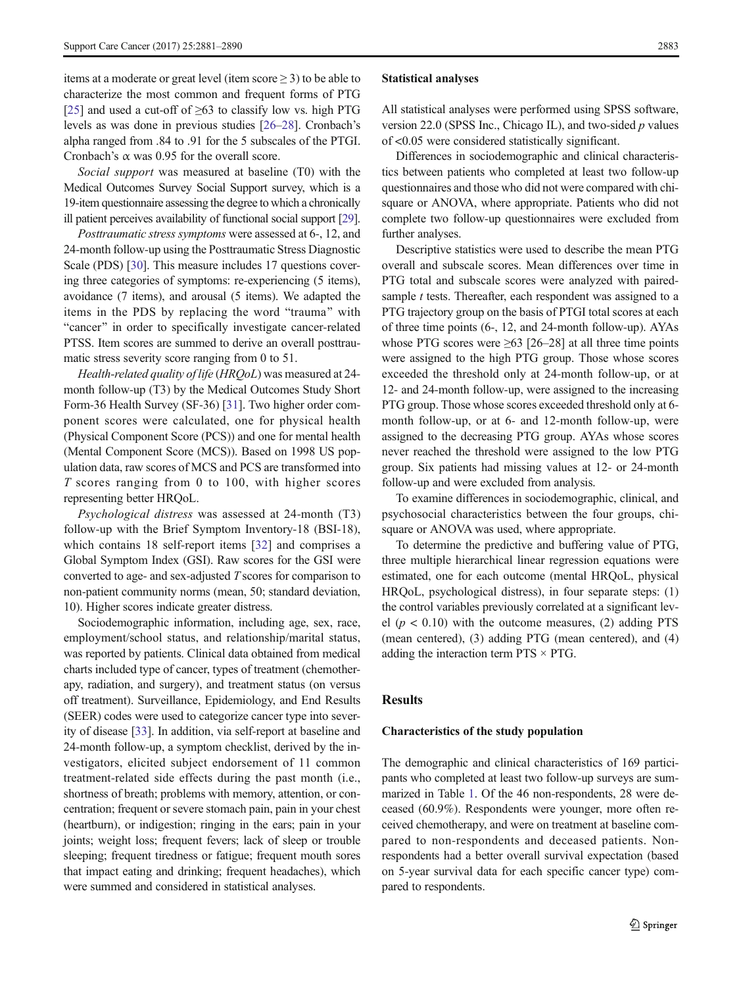items at a moderate or great level (item score ≥ 3) to be able to characterize the most common and frequent forms of PTG [\[25\]](#page-8-0) and used a cut-off of  $\geq 63$  to classify low vs. high PTG levels as was done in previous studies [\[26](#page-8-0)–[28\]](#page-8-0). Cronbach's alpha ranged from .84 to .91 for the 5 subscales of the PTGI. Cronbach's α was 0.95 for the overall score.

Social support was measured at baseline (T0) with the Medical Outcomes Survey Social Support survey, which is a 19-item questionnaire assessing the degree to which a chronically ill patient perceives availability of functional social support [\[29\]](#page-8-0).

Posttraumatic stress symptoms were assessed at 6-, 12, and 24-month follow-up using the Posttraumatic Stress Diagnostic Scale (PDS) [[30](#page-8-0)]. This measure includes 17 questions covering three categories of symptoms: re-experiencing (5 items), avoidance (7 items), and arousal (5 items). We adapted the items in the PDS by replacing the word "trauma" with "cancer" in order to specifically investigate cancer-related PTSS. Item scores are summed to derive an overall posttraumatic stress severity score ranging from 0 to 51.

Health-related quality of life (HRQoL) was measured at 24 month follow-up (T3) by the Medical Outcomes Study Short Form-36 Health Survey (SF-36) [\[31](#page-9-0)]. Two higher order component scores were calculated, one for physical health (Physical Component Score (PCS)) and one for mental health (Mental Component Score (MCS)). Based on 1998 US population data, raw scores of MCS and PCS are transformed into T scores ranging from 0 to 100, with higher scores representing better HRQoL.

Psychological distress was assessed at 24-month (T3) follow-up with the Brief Symptom Inventory-18 (BSI-18), which contains 18 self-report items [[32\]](#page-9-0) and comprises a Global Symptom Index (GSI). Raw scores for the GSI were converted to age- and sex-adjusted T scores for comparison to non-patient community norms (mean, 50; standard deviation, 10). Higher scores indicate greater distress.

Sociodemographic information, including age, sex, race, employment/school status, and relationship/marital status, was reported by patients. Clinical data obtained from medical charts included type of cancer, types of treatment (chemotherapy, radiation, and surgery), and treatment status (on versus off treatment). Surveillance, Epidemiology, and End Results (SEER) codes were used to categorize cancer type into severity of disease [\[33](#page-9-0)]. In addition, via self-report at baseline and 24-month follow-up, a symptom checklist, derived by the investigators, elicited subject endorsement of 11 common treatment-related side effects during the past month (i.e., shortness of breath; problems with memory, attention, or concentration; frequent or severe stomach pain, pain in your chest (heartburn), or indigestion; ringing in the ears; pain in your joints; weight loss; frequent fevers; lack of sleep or trouble sleeping; frequent tiredness or fatigue; frequent mouth sores that impact eating and drinking; frequent headaches), which were summed and considered in statistical analyses.

#### Statistical analyses

All statistical analyses were performed using SPSS software, version 22.0 (SPSS Inc., Chicago IL), and two-sided  $p$  values of <0.05 were considered statistically significant.

Differences in sociodemographic and clinical characteristics between patients who completed at least two follow-up questionnaires and those who did not were compared with chisquare or ANOVA, where appropriate. Patients who did not complete two follow-up questionnaires were excluded from further analyses.

Descriptive statistics were used to describe the mean PTG overall and subscale scores. Mean differences over time in PTG total and subscale scores were analyzed with pairedsample *t* tests. Thereafter, each respondent was assigned to a PTG trajectory group on the basis of PTGI total scores at each of three time points (6-, 12, and 24-month follow-up). AYAs whose PTG scores were  $\geq 63$  [26–28] at all three time points were assigned to the high PTG group. Those whose scores exceeded the threshold only at 24-month follow-up, or at 12- and 24-month follow-up, were assigned to the increasing PTG group. Those whose scores exceeded threshold only at 6 month follow-up, or at 6- and 12-month follow-up, were assigned to the decreasing PTG group. AYAs whose scores never reached the threshold were assigned to the low PTG group. Six patients had missing values at 12- or 24-month follow-up and were excluded from analysis.

To examine differences in sociodemographic, clinical, and psychosocial characteristics between the four groups, chisquare or ANOVA was used, where appropriate.

To determine the predictive and buffering value of PTG, three multiple hierarchical linear regression equations were estimated, one for each outcome (mental HRQoL, physical HRQoL, psychological distress), in four separate steps: (1) the control variables previously correlated at a significant level  $(p < 0.10)$  with the outcome measures, (2) adding PTS (mean centered), (3) adding PTG (mean centered), and (4) adding the interaction term  $PTS \times PTG$ .

#### Results

#### Characteristics of the study population

The demographic and clinical characteristics of 169 participants who completed at least two follow-up surveys are summarized in Table [1](#page-3-0). Of the 46 non-respondents, 28 were deceased (60.9%). Respondents were younger, more often received chemotherapy, and were on treatment at baseline compared to non-respondents and deceased patients. Nonrespondents had a better overall survival expectation (based on 5-year survival data for each specific cancer type) compared to respondents.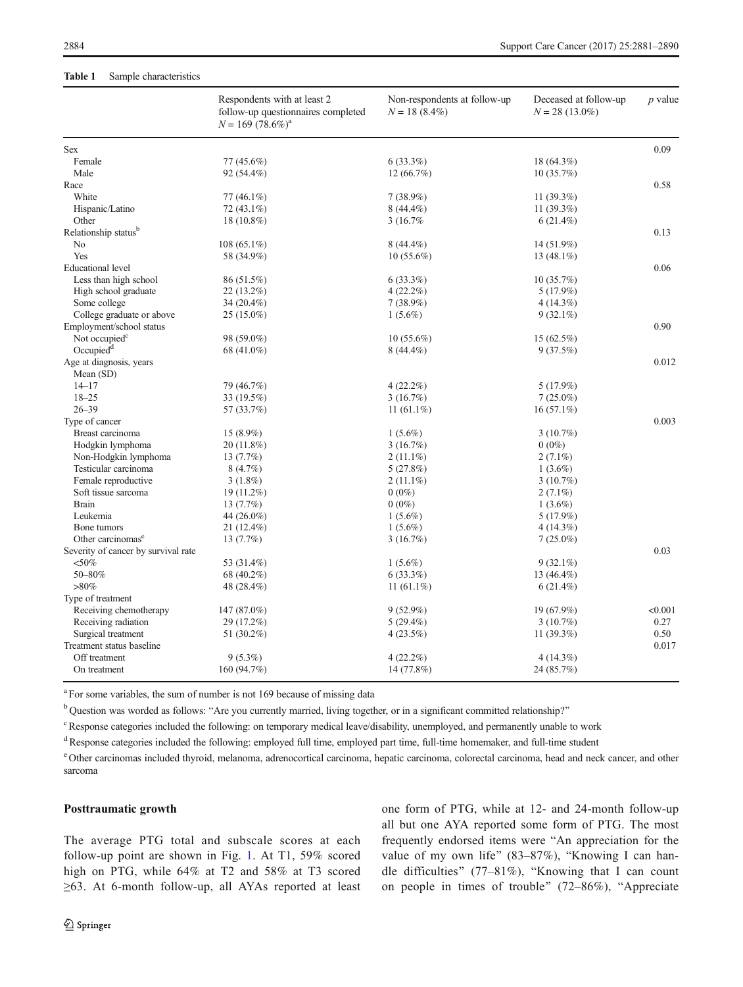## <span id="page-3-0"></span>Table 1 Sample characteristics

|                                      | Respondents with at least 2<br>follow-up questionnaires completed<br>$N = 169 (78.6\%)^a$ | Non-respondents at follow-up<br>$N = 18(8.4\%)$ | Deceased at follow-up<br>$N = 28(13.0\%)$ | $p$ value |
|--------------------------------------|-------------------------------------------------------------------------------------------|-------------------------------------------------|-------------------------------------------|-----------|
| <b>Sex</b>                           |                                                                                           |                                                 |                                           | 0.09      |
| Female                               | 77 (45.6%)                                                                                | 6(33.3%)                                        | 18 (64.3%)                                |           |
| Male                                 | 92 (54.4%)                                                                                | 12 (66.7%)                                      | 10(35.7%)                                 |           |
| Race                                 |                                                                                           |                                                 |                                           | 0.58      |
| White                                | $77(46.1\%)$                                                                              | $7(38.9\%)$                                     | 11 $(39.3\%)$                             |           |
| Hispanic/Latino                      | $72(43.1\%)$                                                                              | $8(44.4\%)$                                     | 11 (39.3%)                                |           |
| Other                                | $18(10.8\%)$                                                                              | 3 (16.7%)                                       | 6(21.4%)                                  |           |
| Relationship status <sup>b</sup>     |                                                                                           |                                                 |                                           | 0.13      |
| N <sub>o</sub>                       | $108(65.1\%)$                                                                             | $8(44.4\%)$                                     | 14 (51.9%)                                |           |
| Yes                                  | 58 (34.9%)                                                                                | $10(55.6\%)$                                    | 13 $(48.1\%)$                             |           |
| <b>Educational</b> level             |                                                                                           |                                                 |                                           | 0.06      |
| Less than high school                | 86 (51.5%)                                                                                | 6(33.3%)                                        | 10(35.7%)                                 |           |
| High school graduate                 | $22(13.2\%)$                                                                              | $4(22.2\%)$                                     | 5(17.9%)                                  |           |
| Some college                         | 34 (20.4%)                                                                                | 7(38.9%)                                        | 4(14.3%)                                  |           |
| College graduate or above            | $25(15.0\%)$                                                                              | $1(5.6\%)$                                      | $9(32.1\%)$                               |           |
| Employment/school status             |                                                                                           |                                                 |                                           | 0.90      |
| Not occupied <sup>c</sup>            | 98 (59.0%)                                                                                | $10(55.6\%)$                                    | $15(62.5\%)$                              |           |
| Occupied <sup>d</sup>                | 68 (41.0%)                                                                                | $8(44.4\%)$                                     | 9(37.5%)                                  |           |
| Age at diagnosis, years<br>Mean (SD) |                                                                                           |                                                 |                                           | 0.012     |
| $14 - 17$                            | 79 (46.7%)                                                                                | $4(22.2\%)$                                     | 5(17.9%)                                  |           |
| $18 - 25$                            | 33 (19.5%)                                                                                | 3(16.7%)                                        | $7(25.0\%)$                               |           |
| $26 - 39$                            | 57 (33.7%)                                                                                | 11 $(61.1\%)$                                   | $16(57.1\%)$                              |           |
| Type of cancer                       |                                                                                           |                                                 |                                           | 0.003     |
| Breast carcinoma                     |                                                                                           |                                                 | $3(10.7\%)$                               |           |
| Hodgkin lymphoma                     | $15(8.9\%)$                                                                               | $1(5.6\%)$<br>3(16.7%)                          | $0(0\%)$                                  |           |
| Non-Hodgkin lymphoma                 | 20(11.8%)<br>13 (7.7%)                                                                    |                                                 |                                           |           |
| Testicular carcinoma                 | 8(4.7%)                                                                                   | $2(11.1\%)$<br>5(27.8%)                         | $2(7.1\%)$<br>$1(3.6\%)$                  |           |
|                                      |                                                                                           |                                                 |                                           |           |
| Female reproductive                  | $3(1.8\%)$                                                                                | $2(11.1\%)$                                     | 3(10.7%)                                  |           |
| Soft tissue sarcoma                  | 19 (11.2%)                                                                                | $0(0\%)$                                        | $2(7.1\%)$                                |           |
| <b>Brain</b><br>Leukemia             | $13(7.7\%)$                                                                               | $0(0\%)$                                        | $1(3.6\%)$                                |           |
|                                      | 44 (26.0%)                                                                                | $1(5.6\%)$                                      | 5(17.9%)                                  |           |
| Bone tumors                          | 21 (12.4%)                                                                                | $1(5.6\%)$                                      | 4(14.3%)                                  |           |
| Other carcinomas <sup>e</sup>        | 13(7.7%)                                                                                  | 3(16.7%)                                        | $7(25.0\%)$                               | 0.03      |
| Severity of cancer by survival rate  |                                                                                           |                                                 |                                           |           |
| $<$ 50%                              | 53 (31.4%)                                                                                | $1(5.6\%)$                                      | $9(32.1\%)$                               |           |
| 50-80%                               | 68 (40.2%)                                                                                | 6(33.3%)                                        | 13 (46.4%)                                |           |
| $>80\%$                              | 48 (28.4%)                                                                                | 11 $(61.1\%)$                                   | $6(21.4\%)$                               |           |
| Type of treatment                    |                                                                                           |                                                 |                                           |           |
| Receiving chemotherapy               | 147 (87.0%)                                                                               | $9(52.9\%)$                                     | 19 (67.9%)                                | < 0.001   |
| Receiving radiation                  | 29 (17.2%)                                                                                | 5(29.4%)                                        | 3(10.7%)                                  | 0.27      |
| Surgical treatment                   | 51 (30.2%)                                                                                | 4(23.5%)                                        | 11 $(39.3%)$                              | 0.50      |
| Treatment status baseline            |                                                                                           |                                                 |                                           | 0.017     |
| Off treatment                        | $9(5.3\%)$                                                                                | 4(22.2%)                                        | 4(14.3%)                                  |           |
| On treatment                         | 160 (94.7%)                                                                               | 14 (77.8%)                                      | 24 (85.7%)                                |           |

<sup>a</sup> For some variables, the sum of number is not 169 because of missing data

 $<sup>b</sup>$  Ouestion was worded as follows: "Are you currently married, living together, or in a significant committed relationship?"</sup>

<sup>c</sup> Response categories included the following: on temporary medical leave/disability, unemployed, and permanently unable to work

<sup>d</sup>Response categories included the following: employed full time, employed part time, full-time homemaker, and full-time student

<sup>e</sup> Other carcinomas included thyroid, melanoma, adrenocortical carcinoma, hepatic carcinoma, colorectal carcinoma, head and neck cancer, and other sarcoma

## Posttraumatic growth

The average PTG total and subscale scores at each follow-up point are shown in Fig. [1.](#page-4-0) At T1, 59% scored high on PTG, while 64% at T2 and 58% at T3 scored ≥63. At 6-month follow-up, all AYAs reported at least one form of PTG, while at 12- and 24-month follow-up all but one AYA reported some form of PTG. The most frequently endorsed items were "An appreciation for the value of my own life" (83–87%), "Knowing I can handle difficulties" (77–81%), "Knowing that I can count on people in times of trouble"  $(72–86\%)$ , "Appreciate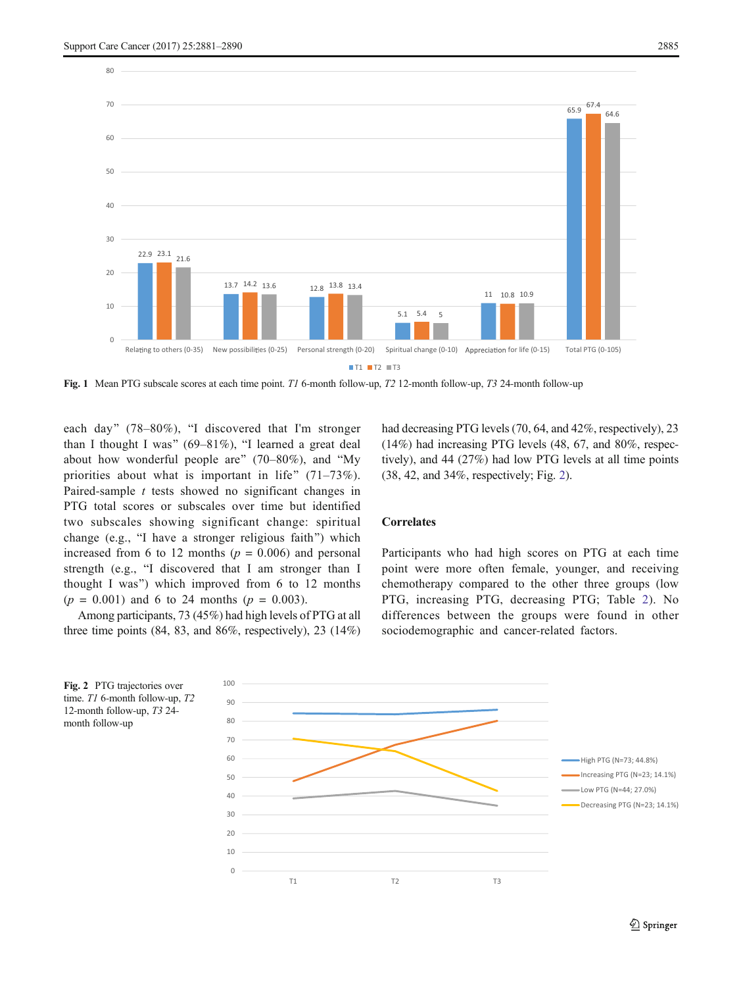<span id="page-4-0"></span>

Fig. 1 Mean PTG subscale scores at each time point. T1 6-month follow-up, T2 12-month follow-up, T3 24-month follow-up

each day" (78–80%), "I discovered that I'm stronger than I thought I was"  $(69-81\%)$ , "I learned a great deal about how wonderful people are"  $(70–80\%)$ , and "My priorities about what is important in life"  $(71–73\%)$ . Paired-sample t tests showed no significant changes in PTG total scores or subscales over time but identified two subscales showing significant change: spiritual change (e.g., "I have a stronger religious faith") which increased from 6 to 12 months ( $p = 0.006$ ) and personal strength (e.g., "I discovered that I am stronger than I thought I was") which improved from  $6$  to 12 months  $(p = 0.001)$  and 6 to 24 months  $(p = 0.003)$ .

Among participants, 73 (45%) had high levels of PTG at all three time points (84, 83, and 86%, respectively), 23 (14%) had decreasing PTG levels (70, 64, and 42%, respectively), 23 (14%) had increasing PTG levels (48, 67, and 80%, respectively), and 44 (27%) had low PTG levels at all time points (38, 42, and 34%, respectively; Fig. 2).

#### **Correlates**

Participants who had high scores on PTG at each time point were more often female, younger, and receiving chemotherapy compared to the other three groups (low PTG, increasing PTG, decreasing PTG; Table [2](#page-5-0)). No differences between the groups were found in other sociodemographic and cancer-related factors.



time. T1 6-month follow-up, T2 12-month follow-up, T3 24 month follow-up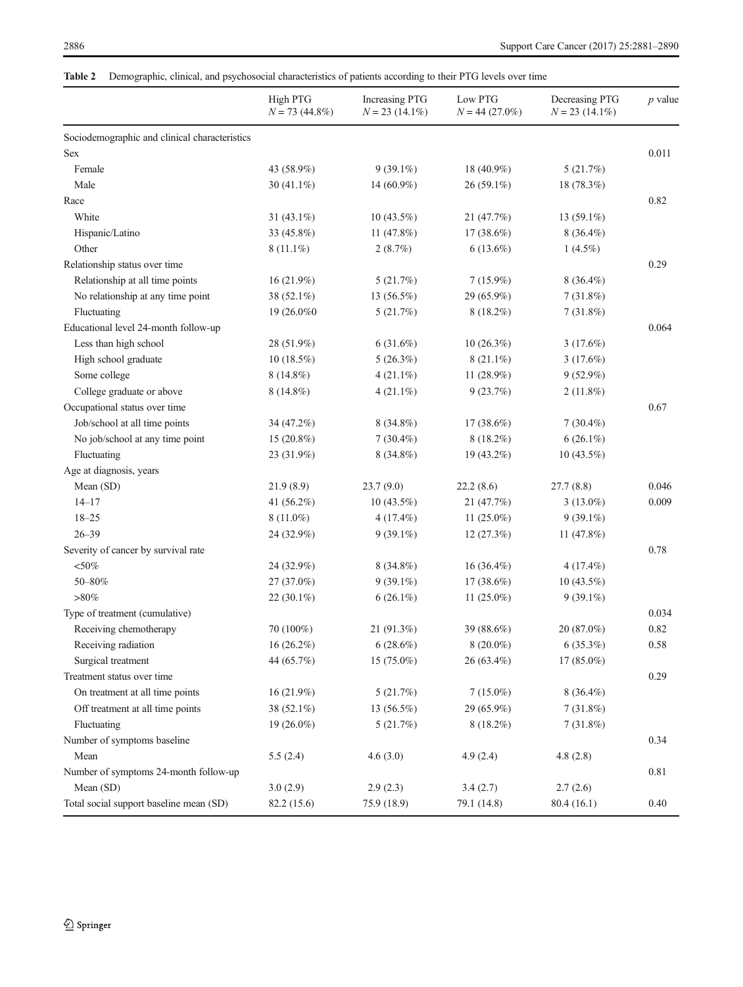# <span id="page-5-0"></span>Table 2 Demographic, clinical, and psychosocial characteristics of patients according to their PTG levels over time

|                                               | High PTG<br>$N = 73$ (44.8%) | Increasing PTG<br>$N = 23(14.1\%)$ | Low PTG<br>$N = 44(27.0\%)$ | Decreasing PTG<br>$N = 23$ (14.1%) | $p$ value |
|-----------------------------------------------|------------------------------|------------------------------------|-----------------------------|------------------------------------|-----------|
| Sociodemographic and clinical characteristics |                              |                                    |                             |                                    |           |
| Sex                                           |                              |                                    |                             |                                    | 0.011     |
| Female                                        | 43 (58.9%)                   | $9(39.1\%)$                        | 18 (40.9%)                  | 5(21.7%)                           |           |
| Male                                          | 30 $(41.1\%)$                | 14 (60.9%)                         | 26 (59.1%)                  | 18 (78.3%)                         |           |
| Race                                          |                              |                                    |                             |                                    | 0.82      |
| White                                         | 31 $(43.1\%)$                | $10(43.5\%)$                       | 21 (47.7%)                  | 13 $(59.1\%)$                      |           |
| Hispanic/Latino                               | 33 (45.8%)                   | 11 $(47.8%)$                       | $17(38.6\%)$                | $8(36.4\%)$                        |           |
| Other                                         | $8(11.1\%)$                  | 2(8.7%)                            | $6(13.6\%)$                 | $1(4.5\%)$                         |           |
| Relationship status over time                 |                              |                                    |                             |                                    | 0.29      |
| Relationship at all time points               | 16(21.9%)                    | 5(21.7%)                           | 7(15.9%)                    | $8(36.4\%)$                        |           |
| No relationship at any time point             | 38 (52.1%)                   | 13 (56.5%)                         | 29 (65.9%)                  | 7(31.8%)                           |           |
| Fluctuating                                   | 19 (26.0%)                   | 5(21.7%)                           | 8 (18.2%)                   | 7(31.8%)                           |           |
| Educational level 24-month follow-up          |                              |                                    |                             |                                    | 0.064     |
| Less than high school                         | 28 (51.9%)                   | $6(31.6\%)$                        | 10(26.3%)                   | 3(17.6%)                           |           |
| High school graduate                          | $10(18.5\%)$                 | $5(26.3\%)$                        | $8(21.1\%)$                 | 3(17.6%)                           |           |
| Some college                                  | $8(14.8\%)$                  | $4(21.1\%)$                        | 11 $(28.9\%)$               | $9(52.9\%)$                        |           |
| College graduate or above                     | $8(14.8\%)$                  | $4(21.1\%)$                        | 9(23.7%)                    | 2(11.8%)                           |           |
| Occupational status over time                 |                              |                                    |                             |                                    | 0.67      |
| Job/school at all time points                 | 34 (47.2%)                   | $8(34.8\%)$                        | 17 (38.6%)                  | $7(30.4\%)$                        |           |
| No job/school at any time point               | 15 (20.8%)                   | $7(30.4\%)$                        | $8(18.2\%)$                 | $6(26.1\%)$                        |           |
| Fluctuating                                   | 23 (31.9%)                   | 8 (34.8%)                          | 19 (43.2%)                  | $10(43.5\%)$                       |           |
| Age at diagnosis, years                       |                              |                                    |                             |                                    |           |
| Mean (SD)                                     | 21.9(8.9)                    | 23.7(9.0)                          | 22.2(8.6)                   | 27.7(8.8)                          | 0.046     |
| $14 - 17$                                     | 41 (56.2%)                   | $10(43.5\%)$                       | 21 (47.7%)                  | $3(13.0\%)$                        | 0.009     |
| $18 - 25$                                     | $8(11.0\%)$                  | $4(17.4\%)$                        | 11 $(25.0\%)$               | $9(39.1\%)$                        |           |
| $26 - 39$                                     | 24 (32.9%)                   | $9(39.1\%)$                        | 12(27.3%)                   | 11 $(47.8%)$                       |           |
| Severity of cancer by survival rate           |                              |                                    |                             |                                    | 0.78      |
| $<$ 50%                                       | 24 (32.9%)                   | $8(34.8\%)$                        | $16(36.4\%)$                | $4(17.4\%)$                        |           |
| 50-80%                                        | 27 (37.0%)                   | $9(39.1\%)$                        | 17 (38.6%)                  | $10(43.5\%)$                       |           |
| $>\!\!80\%$                                   | 22 (30.1%)                   | $6(26.1\%)$                        | 11 $(25.0\%)$               | $9(39.1\%)$                        |           |
| Type of treatment (cumulative)                |                              |                                    |                             |                                    | 0.034     |
| Receiving chemotherapy                        | 70 (100%)                    | 21 (91.3%)                         | 39 (88.6%)                  | 20 (87.0%)                         | 0.82      |
| Receiving radiation                           | 16 (26.2%)                   | 6(28.6%)                           | $8(20.0\%)$                 | 6(35.3%)                           | 0.58      |
| Surgical treatment                            | 44 (65.7%)                   | $15(75.0\%)$                       | $26(63.4\%)$                | $17(85.0\%)$                       |           |
| Treatment status over time                    |                              |                                    |                             |                                    |           |
| On treatment at all time points               | 16 (21.9%)                   | 5(21.7%)                           | $7(15.0\%)$                 | $8(36.4\%)$                        |           |
| Off treatment at all time points              | 38 (52.1%)                   | 13 $(56.5\%)$                      | 29 (65.9%)                  | 7(31.8%)                           |           |
| Fluctuating                                   | 19 $(26.0\%)$                | 5(21.7%)                           | $8(18.2\%)$                 | $7(31.8\%)$                        |           |
| Number of symptoms baseline                   |                              |                                    |                             |                                    | 0.34      |
| Mean                                          | 5.5(2.4)                     | 4.6(3.0)                           | 4.9(2.4)                    | 4.8(2.8)                           |           |
| Number of symptoms 24-month follow-up         |                              |                                    |                             |                                    | 0.81      |
| Mean (SD)                                     | 3.0(2.9)                     | 2.9(2.3)                           | 3.4(2.7)                    | 2.7(2.6)                           |           |
| Total social support baseline mean (SD)       | 82.2 (15.6)                  | 75.9 (18.9)                        | 79.1 (14.8)                 | 80.4(16.1)                         | 0.40      |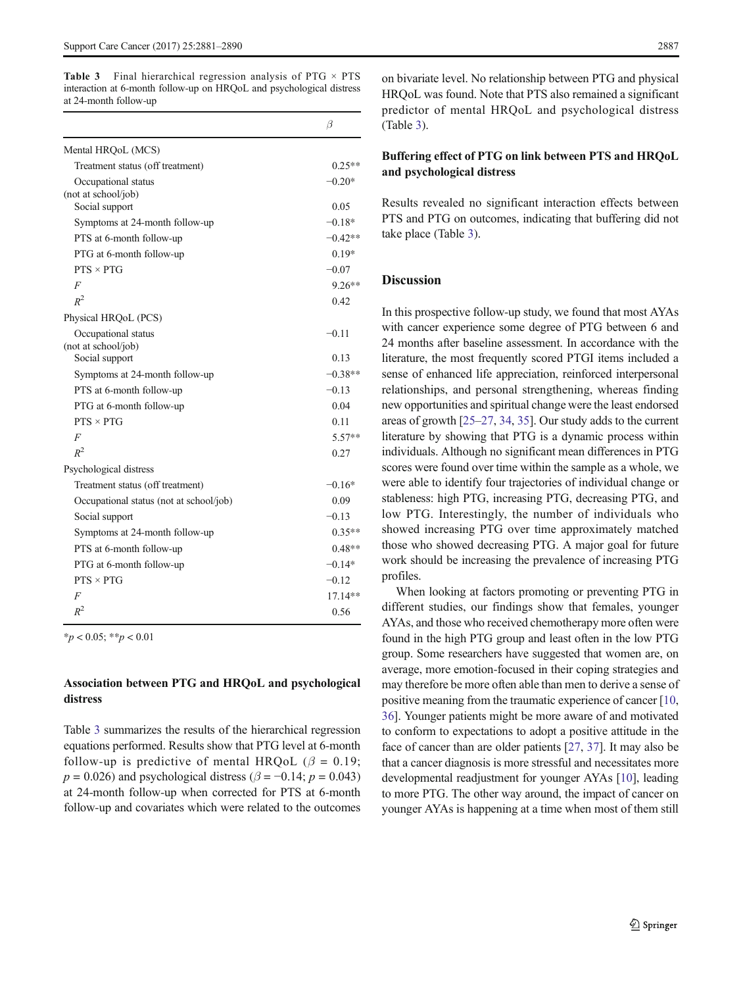**Table 3** Final hierarchical regression analysis of PTG  $\times$  PTS interaction at 6-month follow-up on HRQoL and psychological distress at 24-month follow-up

|                                            | $\beta$   |
|--------------------------------------------|-----------|
| Mental HRQoL (MCS)                         |           |
| Treatment status (off treatment)           | $0.25**$  |
| Occupational status<br>(not at school/job) | $-0.20*$  |
| Social support                             | 0.05      |
| Symptoms at 24-month follow-up             | $-0.18*$  |
| PTS at 6-month follow-up                   | $-0.42**$ |
| PTG at 6-month follow-up                   | $0.19*$   |
| $PTS \times PTG$                           | $-0.07$   |
| F                                          | $9.26**$  |
| $R^2$                                      | 0.42      |
| Physical HRQoL (PCS)                       |           |
| Occupational status<br>(not at school/job) | $-0.11$   |
| Social support                             | 0.13      |
| Symptoms at 24-month follow-up             | $-0.38**$ |
| PTS at 6-month follow-up                   | $-0.13$   |
| PTG at 6-month follow-up                   | 0.04      |
| $PTS \times PTG$                           | 0.11      |
| $\overline{F}$                             | $5.57**$  |
| $R^2$                                      | 0.27      |
| Psychological distress                     |           |
| Treatment status (off treatment)           | $-0.16*$  |
| Occupational status (not at school/job)    | 0.09      |
| Social support                             | $-0.13$   |
| Symptoms at 24-month follow-up             | $0.35**$  |
| PTS at 6-month follow-up                   | $0.48**$  |
| PTG at 6-month follow-up                   | $-0.14*$  |
| $PTS \times PTG$                           | $-0.12$   |
| F                                          | $17.14**$ |
| $R^2$                                      | 0.56      |

 $*_{p}$  < 0.05;  $*_{p}$  < 0.01

# Association between PTG and HRQoL and psychological distress

Table 3 summarizes the results of the hierarchical regression equations performed. Results show that PTG level at 6-month follow-up is predictive of mental HRQoL ( $\beta = 0.19$ ;  $p = 0.026$ ) and psychological distress ( $\beta = -0.14$ ;  $p = 0.043$ ) at 24-month follow-up when corrected for PTS at 6-month follow-up and covariates which were related to the outcomes on bivariate level. No relationship between PTG and physical HRQoL was found. Note that PTS also remained a significant predictor of mental HRQoL and psychological distress (Table 3).

# Buffering effect of PTG on link between PTS and HRQoL and psychological distress

Results revealed no significant interaction effects between PTS and PTG on outcomes, indicating that buffering did not take place (Table 3).

# Discussion

In this prospective follow-up study, we found that most AYAs with cancer experience some degree of PTG between 6 and 24 months after baseline assessment. In accordance with the literature, the most frequently scored PTGI items included a sense of enhanced life appreciation, reinforced interpersonal relationships, and personal strengthening, whereas finding new opportunities and spiritual change were the least endorsed areas of growth [\[25](#page-8-0)–[27,](#page-8-0) [34](#page-9-0), [35\]](#page-9-0). Our study adds to the current literature by showing that PTG is a dynamic process within individuals. Although no significant mean differences in PTG scores were found over time within the sample as a whole, we were able to identify four trajectories of individual change or stableness: high PTG, increasing PTG, decreasing PTG, and low PTG. Interestingly, the number of individuals who showed increasing PTG over time approximately matched those who showed decreasing PTG. A major goal for future work should be increasing the prevalence of increasing PTG profiles.

When looking at factors promoting or preventing PTG in different studies, our findings show that females, younger AYAs, and those who received chemotherapy more often were found in the high PTG group and least often in the low PTG group. Some researchers have suggested that women are, on average, more emotion-focused in their coping strategies and may therefore be more often able than men to derive a sense of positive meaning from the traumatic experience of cancer [\[10,](#page-8-0) [36\]](#page-9-0). Younger patients might be more aware of and motivated to conform to expectations to adopt a positive attitude in the face of cancer than are older patients [[27](#page-8-0), [37](#page-9-0)]. It may also be that a cancer diagnosis is more stressful and necessitates more developmental readjustment for younger AYAs [\[10](#page-8-0)], leading to more PTG. The other way around, the impact of cancer on younger AYAs is happening at a time when most of them still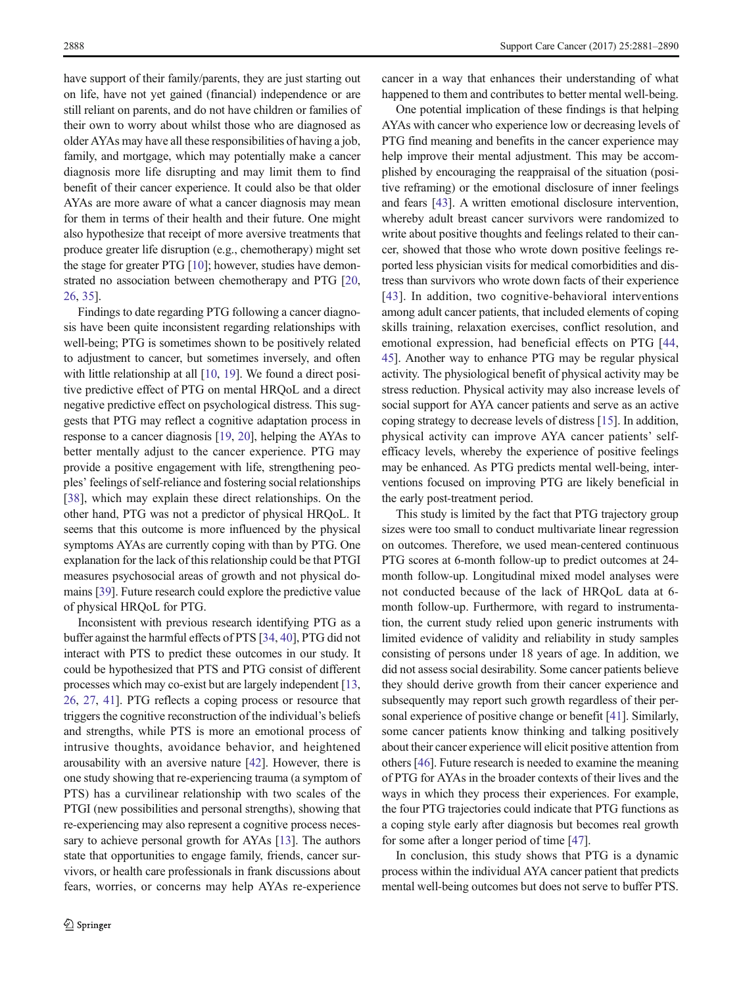have support of their family/parents, they are just starting out on life, have not yet gained (financial) independence or are still reliant on parents, and do not have children or families of their own to worry about whilst those who are diagnosed as older AYAs may have all these responsibilities of having a job, family, and mortgage, which may potentially make a cancer diagnosis more life disrupting and may limit them to find benefit of their cancer experience. It could also be that older AYAs are more aware of what a cancer diagnosis may mean for them in terms of their health and their future. One might also hypothesize that receipt of more aversive treatments that produce greater life disruption (e.g., chemotherapy) might set the stage for greater PTG [[10\]](#page-8-0); however, studies have demonstrated no association between chemotherapy and PTG [[20,](#page-8-0) [26,](#page-8-0) [35\]](#page-9-0).

Findings to date regarding PTG following a cancer diagnosis have been quite inconsistent regarding relationships with well-being; PTG is sometimes shown to be positively related to adjustment to cancer, but sometimes inversely, and often with little relationship at all [\[10,](#page-8-0) [19\]](#page-8-0). We found a direct positive predictive effect of PTG on mental HRQoL and a direct negative predictive effect on psychological distress. This suggests that PTG may reflect a cognitive adaptation process in response to a cancer diagnosis [[19,](#page-8-0) [20\]](#page-8-0), helping the AYAs to better mentally adjust to the cancer experience. PTG may provide a positive engagement with life, strengthening peoples' feelings of self-reliance and fostering social relationships [\[38](#page-9-0)], which may explain these direct relationships. On the other hand, PTG was not a predictor of physical HRQoL. It seems that this outcome is more influenced by the physical symptoms AYAs are currently coping with than by PTG. One explanation for the lack of this relationship could be that PTGI measures psychosocial areas of growth and not physical domains [\[39](#page-9-0)]. Future research could explore the predictive value of physical HRQoL for PTG.

Inconsistent with previous research identifying PTG as a buffer against the harmful effects of PTS [[34](#page-9-0), [40\]](#page-9-0), PTG did not interact with PTS to predict these outcomes in our study. It could be hypothesized that PTS and PTG consist of different processes which may co-exist but are largely independent [[13,](#page-8-0) [26,](#page-8-0) [27,](#page-8-0) [41\]](#page-9-0). PTG reflects a coping process or resource that triggers the cognitive reconstruction of the individual's beliefs and strengths, while PTS is more an emotional process of intrusive thoughts, avoidance behavior, and heightened arousability with an aversive nature [[42\]](#page-9-0). However, there is one study showing that re-experiencing trauma (a symptom of PTS) has a curvilinear relationship with two scales of the PTGI (new possibilities and personal strengths), showing that re-experiencing may also represent a cognitive process necessary to achieve personal growth for AYAs [[13\]](#page-8-0). The authors state that opportunities to engage family, friends, cancer survivors, or health care professionals in frank discussions about fears, worries, or concerns may help AYAs re-experience

cancer in a way that enhances their understanding of what happened to them and contributes to better mental well-being.

One potential implication of these findings is that helping AYAs with cancer who experience low or decreasing levels of PTG find meaning and benefits in the cancer experience may help improve their mental adjustment. This may be accomplished by encouraging the reappraisal of the situation (positive reframing) or the emotional disclosure of inner feelings and fears [\[43](#page-9-0)]. A written emotional disclosure intervention, whereby adult breast cancer survivors were randomized to write about positive thoughts and feelings related to their cancer, showed that those who wrote down positive feelings reported less physician visits for medical comorbidities and distress than survivors who wrote down facts of their experience [[43\]](#page-9-0). In addition, two cognitive-behavioral interventions among adult cancer patients, that included elements of coping skills training, relaxation exercises, conflict resolution, and emotional expression, had beneficial effects on PTG [[44,](#page-9-0) [45\]](#page-9-0). Another way to enhance PTG may be regular physical activity. The physiological benefit of physical activity may be stress reduction. Physical activity may also increase levels of social support for AYA cancer patients and serve as an active coping strategy to decrease levels of distress [\[15\]](#page-8-0). In addition, physical activity can improve AYA cancer patients' selfefficacy levels, whereby the experience of positive feelings may be enhanced. As PTG predicts mental well-being, interventions focused on improving PTG are likely beneficial in the early post-treatment period.

This study is limited by the fact that PTG trajectory group sizes were too small to conduct multivariate linear regression on outcomes. Therefore, we used mean-centered continuous PTG scores at 6-month follow-up to predict outcomes at 24 month follow-up. Longitudinal mixed model analyses were not conducted because of the lack of HRQoL data at 6 month follow-up. Furthermore, with regard to instrumentation, the current study relied upon generic instruments with limited evidence of validity and reliability in study samples consisting of persons under 18 years of age. In addition, we did not assess social desirability. Some cancer patients believe they should derive growth from their cancer experience and subsequently may report such growth regardless of their personal experience of positive change or benefit [\[41\]](#page-9-0). Similarly, some cancer patients know thinking and talking positively about their cancer experience will elicit positive attention from others [\[46\]](#page-9-0). Future research is needed to examine the meaning of PTG for AYAs in the broader contexts of their lives and the ways in which they process their experiences. For example, the four PTG trajectories could indicate that PTG functions as a coping style early after diagnosis but becomes real growth for some after a longer period of time [\[47](#page-9-0)].

In conclusion, this study shows that PTG is a dynamic process within the individual AYA cancer patient that predicts mental well-being outcomes but does not serve to buffer PTS.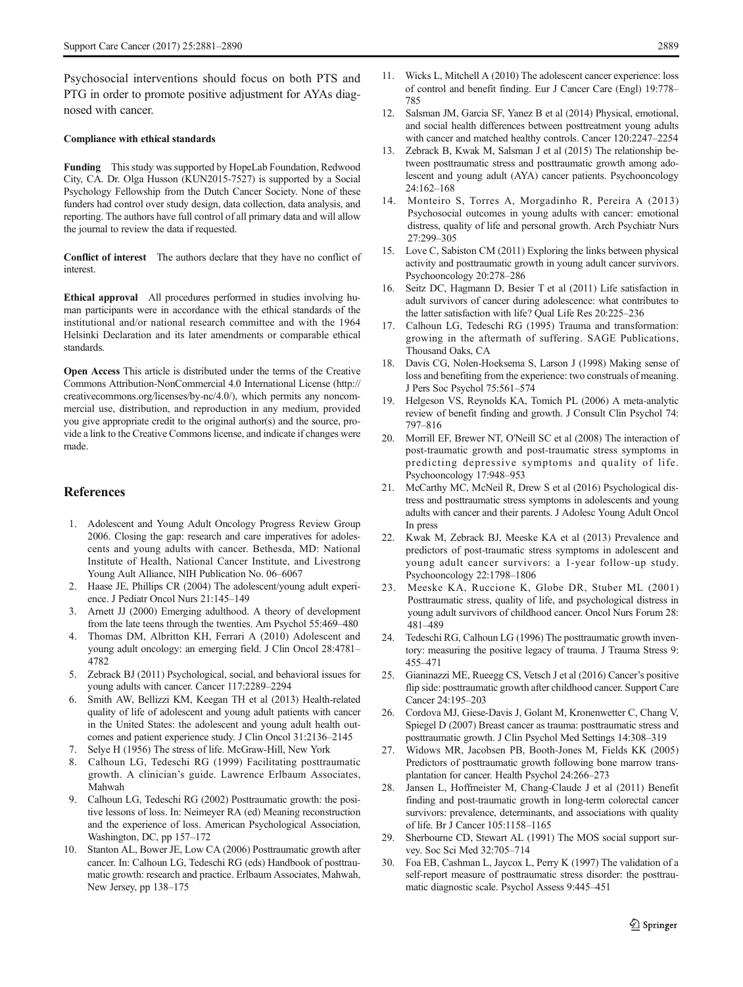<span id="page-8-0"></span>Psychosocial interventions should focus on both PTS and PTG in order to promote positive adjustment for AYAs diagnosed with cancer.

#### Compliance with ethical standards

Funding This study was supported by HopeLab Foundation, Redwood City, CA. Dr. Olga Husson (KUN2015-7527) is supported by a Social Psychology Fellowship from the Dutch Cancer Society. None of these funders had control over study design, data collection, data analysis, and reporting. The authors have full control of all primary data and will allow the journal to review the data if requested.

Conflict of interest The authors declare that they have no conflict of **interest** 

Ethical approval All procedures performed in studies involving human participants were in accordance with the ethical standards of the institutional and/or national research committee and with the 1964 Helsinki Declaration and its later amendments or comparable ethical standards.

Open Access This article is distributed under the terms of the Creative Commons Attribution-NonCommercial 4.0 International License (http:// creativecommons.org/licenses/by-nc/4.0/), which permits any noncommercial use, distribution, and reproduction in any medium, provided you give appropriate credit to the original author(s) and the source, provide a link to the Creative Commons license, and indicate if changes were made.

#### References

- 1. Adolescent and Young Adult Oncology Progress Review Group 2006. Closing the gap: research and care imperatives for adolescents and young adults with cancer. Bethesda, MD: National Institute of Health, National Cancer Institute, and Livestrong Young Ault Alliance, NIH Publication No. 06–6067
- 2. Haase JE, Phillips CR (2004) The adolescent/young adult experience. J Pediatr Oncol Nurs 21:145–149
- 3. Arnett JJ (2000) Emerging adulthood. A theory of development from the late teens through the twenties. Am Psychol 55:469–480
- 4. Thomas DM, Albritton KH, Ferrari A (2010) Adolescent and young adult oncology: an emerging field. J Clin Oncol 28:4781– 4782
- 5. Zebrack BJ (2011) Psychological, social, and behavioral issues for young adults with cancer. Cancer 117:2289–2294
- 6. Smith AW, Bellizzi KM, Keegan TH et al (2013) Health-related quality of life of adolescent and young adult patients with cancer in the United States: the adolescent and young adult health outcomes and patient experience study. J Clin Oncol 31:2136–2145
- Selye H (1956) The stress of life. McGraw-Hill, New York
- 8. Calhoun LG, Tedeschi RG (1999) Facilitating posttraumatic growth. A clinician's guide. Lawrence Erlbaum Associates, Mahwah
- 9. Calhoun LG, Tedeschi RG (2002) Posttraumatic growth: the positive lessons of loss. In: Neimeyer RA (ed) Meaning reconstruction and the experience of loss. American Psychological Association, Washington, DC, pp 157–172
- 10. Stanton AL, Bower JE, Low CA (2006) Posttraumatic growth after cancer. In: Calhoun LG, Tedeschi RG (eds) Handbook of posttraumatic growth: research and practice. Erlbaum Associates, Mahwah, New Jersey, pp 138–175
- 11. Wicks L, Mitchell A (2010) The adolescent cancer experience: loss of control and benefit finding. Eur J Cancer Care (Engl) 19:778– 785
- 12. Salsman JM, Garcia SF, Yanez B et al (2014) Physical, emotional, and social health differences between posttreatment young adults with cancer and matched healthy controls. Cancer 120:2247–2254
- Zebrack B, Kwak M, Salsman J et al (2015) The relationship between posttraumatic stress and posttraumatic growth among adolescent and young adult (AYA) cancer patients. Psychooncology 24:162–168
- 14. Monteiro S, Torres A, Morgadinho R, Pereira A (2013) Psychosocial outcomes in young adults with cancer: emotional distress, quality of life and personal growth. Arch Psychiatr Nurs 27:299–305
- 15. Love C, Sabiston CM (2011) Exploring the links between physical activity and posttraumatic growth in young adult cancer survivors. Psychooncology 20:278–286
- 16. Seitz DC, Hagmann D, Besier T et al (2011) Life satisfaction in adult survivors of cancer during adolescence: what contributes to the latter satisfaction with life? Qual Life Res 20:225–236
- 17. Calhoun LG, Tedeschi RG (1995) Trauma and transformation: growing in the aftermath of suffering. SAGE Publications, Thousand Oaks, CA
- 18. Davis CG, Nolen-Hoeksema S, Larson J (1998) Making sense of loss and benefiting from the experience: two construals of meaning. J Pers Soc Psychol 75:561–574
- 19. Helgeson VS, Reynolds KA, Tomich PL (2006) A meta-analytic review of benefit finding and growth. J Consult Clin Psychol 74: 797–816
- 20. Morrill EF, Brewer NT, O'Neill SC et al (2008) The interaction of post-traumatic growth and post-traumatic stress symptoms in predicting depressive symptoms and quality of life. Psychooncology 17:948–953
- 21. McCarthy MC, McNeil R, Drew S et al (2016) Psychological distress and posttraumatic stress symptoms in adolescents and young adults with cancer and their parents. J Adolesc Young Adult Oncol In press
- 22. Kwak M, Zebrack BJ, Meeske KA et al (2013) Prevalence and predictors of post-traumatic stress symptoms in adolescent and young adult cancer survivors: a 1-year follow-up study. Psychooncology 22:1798–1806
- 23. Meeske KA, Ruccione K, Globe DR, Stuber ML (2001) Posttraumatic stress, quality of life, and psychological distress in young adult survivors of childhood cancer. Oncol Nurs Forum 28: 481–489
- 24. Tedeschi RG, Calhoun LG (1996) The posttraumatic growth inventory: measuring the positive legacy of trauma. J Trauma Stress 9: 455–471
- 25. Gianinazzi ME, Rueegg CS, Vetsch J et al (2016) Cancer's positive flip side: posttraumatic growth after childhood cancer. Support Care Cancer 24:195–203
- 26. Cordova MJ, Giese-Davis J, Golant M, Kronenwetter C, Chang V, Spiegel D (2007) Breast cancer as trauma: posttraumatic stress and posttraumatic growth. J Clin Psychol Med Settings 14:308–319
- 27. Widows MR, Jacobsen PB, Booth-Jones M, Fields KK (2005) Predictors of posttraumatic growth following bone marrow transplantation for cancer. Health Psychol 24:266–273
- 28. Jansen L, Hoffmeister M, Chang-Claude J et al (2011) Benefit finding and post-traumatic growth in long-term colorectal cancer survivors: prevalence, determinants, and associations with quality of life. Br J Cancer 105:1158–1165
- 29. Sherbourne CD, Stewart AL (1991) The MOS social support survey. Soc Sci Med 32:705–714
- 30. Foa EB, Cashman L, Jaycox L, Perry K (1997) The validation of a self-report measure of posttraumatic stress disorder: the posttraumatic diagnostic scale. Psychol Assess 9:445–451